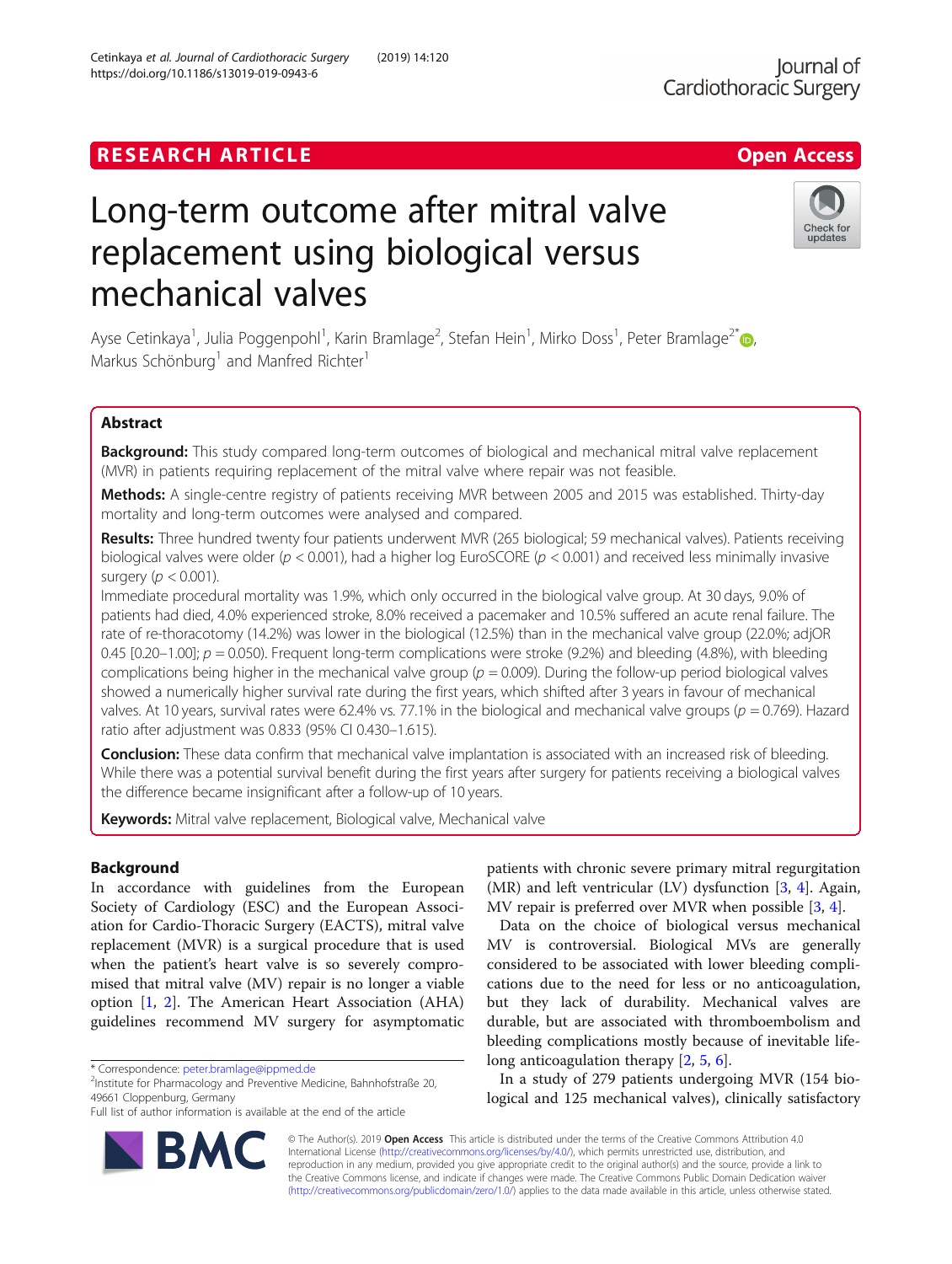## **RESEARCH ARTICLE Example 2018 12:30 The Contract of Contract ACCESS**

# Long-term outcome after mitral valve replacement using biological versus mechanical valves

Ayse Cetinkaya<sup>1</sup>[,](http://orcid.org/0000-0003-4970-2110) Julia Poggenpohl<sup>1</sup>, Karin Bramlage<sup>2</sup>, Stefan Hein<sup>1</sup>, Mirko Doss<sup>1</sup>, Peter Bramlage<sup>2\*</sup>. Markus Schönburg<sup>1</sup> and Manfred Richter<sup>1</sup>

## Abstract

Background: This study compared long-term outcomes of biological and mechanical mitral valve replacement (MVR) in patients requiring replacement of the mitral valve where repair was not feasible.

Methods: A single-centre registry of patients receiving MVR between 2005 and 2015 was established. Thirty-day mortality and long-term outcomes were analysed and compared.

Results: Three hundred twenty four patients underwent MVR (265 biological; 59 mechanical valves). Patients receiving biological valves were older ( $p < 0.001$ ), had a higher log EuroSCORE ( $p < 0.001$ ) and received less minimally invasive surgery ( $p < 0.001$ ).

Immediate procedural mortality was 1.9%, which only occurred in the biological valve group. At 30 days, 9.0% of patients had died, 4.0% experienced stroke, 8.0% received a pacemaker and 10.5% suffered an acute renal failure. The rate of re-thoracotomy (14.2%) was lower in the biological (12.5%) than in the mechanical valve group (22.0%; adjOR 0.45 [0.20–1.00];  $p = 0.050$ . Frequent long-term complications were stroke (9.2%) and bleeding (4.8%), with bleeding complications being higher in the mechanical valve group ( $p = 0.009$ ). During the follow-up period biological valves showed a numerically higher survival rate during the first years, which shifted after 3 years in favour of mechanical valves. At 10 years, survival rates were 62.4% vs. 77.1% in the biological and mechanical valve groups ( $p = 0.769$ ). Hazard ratio after adjustment was 0.833 (95% CI 0.430–1.615).

**Conclusion:** These data confirm that mechanical valve implantation is associated with an increased risk of bleeding. While there was a potential survival benefit during the first years after surgery for patients receiving a biological valves the difference became insignificant after a follow-up of 10 years.

Keywords: Mitral valve replacement, Biological valve, Mechanical valve

## Background

In accordance with guidelines from the European Society of Cardiology (ESC) and the European Association for Cardio-Thoracic Surgery (EACTS), mitral valve replacement (MVR) is a surgical procedure that is used when the patient's heart valve is so severely compromised that mitral valve (MV) repair is no longer a viable option [\[1,](#page-7-0) [2\]](#page-7-0). The American Heart Association (AHA) guidelines recommend MV surgery for asymptomatic

<sup>2</sup>Institute for Pharmacology and Preventive Medicine, Bahnhofstraße 20, 49661 Cloppenburg, Germany

patients with chronic severe primary mitral regurgitation  $(MR)$  and left ventricular  $(LV)$  dysfunction  $[3, 4]$  $[3, 4]$  $[3, 4]$ . Again, MV repair is preferred over MVR when possible [\[3](#page-7-0), [4](#page-7-0)].

Data on the choice of biological versus mechanical MV is controversial. Biological MVs are generally considered to be associated with lower bleeding complications due to the need for less or no anticoagulation, but they lack of durability. Mechanical valves are durable, but are associated with thromboembolism and bleeding complications mostly because of inevitable lifelong anticoagulation therapy [[2,](#page-7-0) [5,](#page-7-0) [6\]](#page-7-0).

In a study of 279 patients undergoing MVR (154 biological and 125 mechanical valves), clinically satisfactory

© The Author(s). 2019 Open Access This article is distributed under the terms of the Creative Commons Attribution 4.0 International License [\(http://creativecommons.org/licenses/by/4.0/](http://creativecommons.org/licenses/by/4.0/)), which permits unrestricted use, distribution, and reproduction in any medium, provided you give appropriate credit to the original author(s) and the source, provide a link to the Creative Commons license, and indicate if changes were made. The Creative Commons Public Domain Dedication waiver [\(http://creativecommons.org/publicdomain/zero/1.0/](http://creativecommons.org/publicdomain/zero/1.0/)) applies to the data made available in this article, unless otherwise stated.





<sup>\*</sup> Correspondence: [peter.bramlage@ippmed.de](mailto:peter.bramlage@ippmed.de) <sup>2</sup>

Full list of author information is available at the end of the article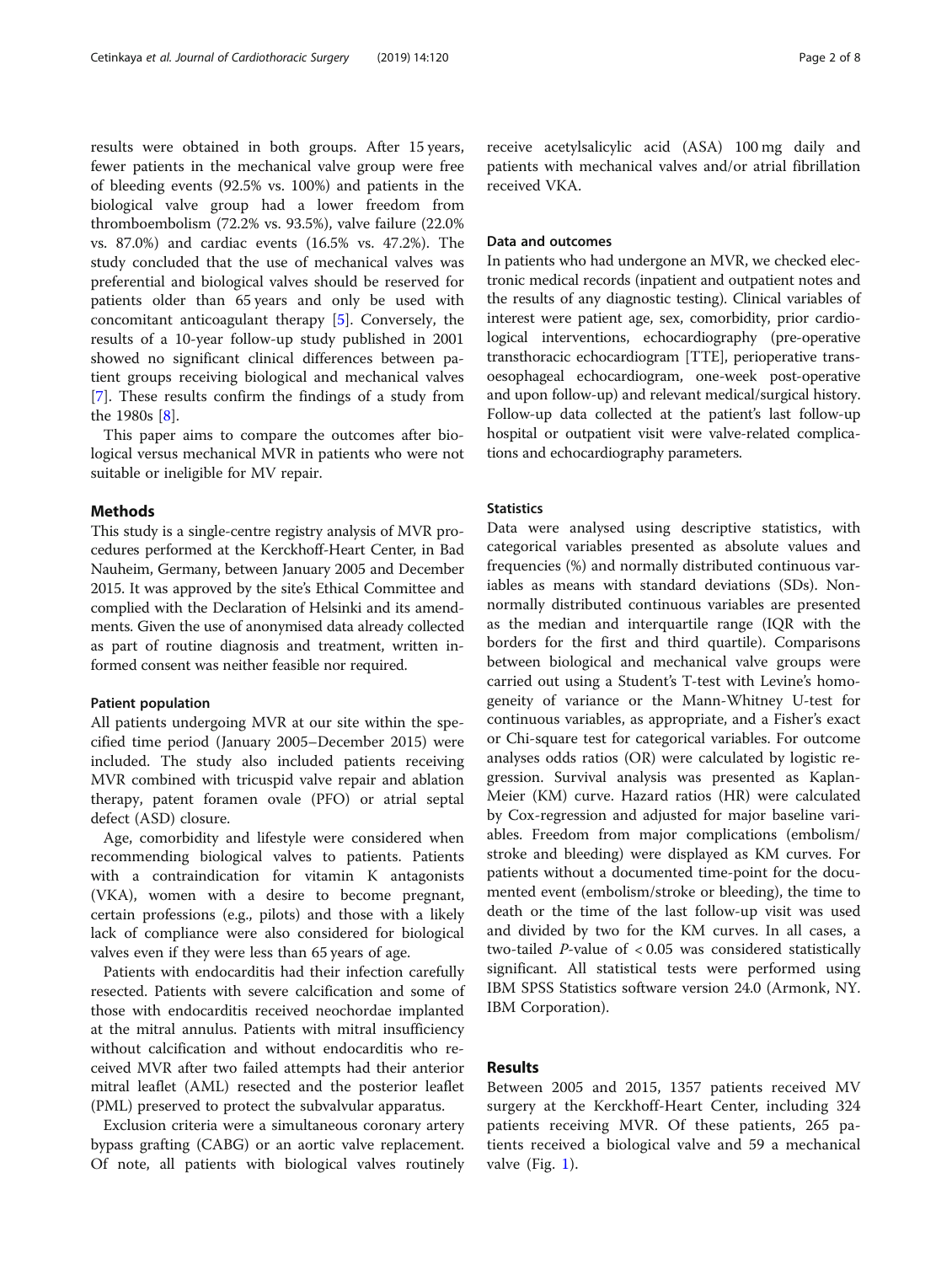results were obtained in both groups. After 15 years, fewer patients in the mechanical valve group were free of bleeding events (92.5% vs. 100%) and patients in the biological valve group had a lower freedom from thromboembolism (72.2% vs. 93.5%), valve failure (22.0% vs. 87.0%) and cardiac events (16.5% vs. 47.2%). The study concluded that the use of mechanical valves was preferential and biological valves should be reserved for patients older than 65 years and only be used with concomitant anticoagulant therapy [[5\]](#page-7-0). Conversely, the results of a 10-year follow-up study published in 2001 showed no significant clinical differences between patient groups receiving biological and mechanical valves [[7\]](#page-7-0). These results confirm the findings of a study from the 1980s [\[8\]](#page-7-0).

This paper aims to compare the outcomes after biological versus mechanical MVR in patients who were not suitable or ineligible for MV repair.

#### Methods

This study is a single-centre registry analysis of MVR procedures performed at the Kerckhoff-Heart Center, in Bad Nauheim, Germany, between January 2005 and December 2015. It was approved by the site's Ethical Committee and complied with the Declaration of Helsinki and its amendments. Given the use of anonymised data already collected as part of routine diagnosis and treatment, written informed consent was neither feasible nor required.

#### Patient population

All patients undergoing MVR at our site within the specified time period (January 2005–December 2015) were included. The study also included patients receiving MVR combined with tricuspid valve repair and ablation therapy, patent foramen ovale (PFO) or atrial septal defect (ASD) closure.

Age, comorbidity and lifestyle were considered when recommending biological valves to patients. Patients with a contraindication for vitamin K antagonists (VKA), women with a desire to become pregnant, certain professions (e.g., pilots) and those with a likely lack of compliance were also considered for biological valves even if they were less than 65 years of age.

Patients with endocarditis had their infection carefully resected. Patients with severe calcification and some of those with endocarditis received neochordae implanted at the mitral annulus. Patients with mitral insufficiency without calcification and without endocarditis who received MVR after two failed attempts had their anterior mitral leaflet (AML) resected and the posterior leaflet (PML) preserved to protect the subvalvular apparatus.

Exclusion criteria were a simultaneous coronary artery bypass grafting (CABG) or an aortic valve replacement. Of note, all patients with biological valves routinely receive acetylsalicylic acid (ASA) 100 mg daily and patients with mechanical valves and/or atrial fibrillation received VKA.

#### Data and outcomes

In patients who had undergone an MVR, we checked electronic medical records (inpatient and outpatient notes and the results of any diagnostic testing). Clinical variables of interest were patient age, sex, comorbidity, prior cardiological interventions, echocardiography (pre-operative transthoracic echocardiogram [TTE], perioperative transoesophageal echocardiogram, one-week post-operative and upon follow-up) and relevant medical/surgical history. Follow-up data collected at the patient's last follow-up hospital or outpatient visit were valve-related complications and echocardiography parameters.

#### **Statistics**

Data were analysed using descriptive statistics, with categorical variables presented as absolute values and frequencies (%) and normally distributed continuous variables as means with standard deviations (SDs). Nonnormally distributed continuous variables are presented as the median and interquartile range (IQR with the borders for the first and third quartile). Comparisons between biological and mechanical valve groups were carried out using a Student's T-test with Levine's homogeneity of variance or the Mann-Whitney U-test for continuous variables, as appropriate, and a Fisher's exact or Chi-square test for categorical variables. For outcome analyses odds ratios (OR) were calculated by logistic regression. Survival analysis was presented as Kaplan-Meier (KM) curve. Hazard ratios (HR) were calculated by Cox-regression and adjusted for major baseline variables. Freedom from major complications (embolism/ stroke and bleeding) were displayed as KM curves. For patients without a documented time-point for the documented event (embolism/stroke or bleeding), the time to death or the time of the last follow-up visit was used and divided by two for the KM curves. In all cases, a two-tailed P-value of < 0.05 was considered statistically significant. All statistical tests were performed using IBM SPSS Statistics software version 24.0 (Armonk, NY. IBM Corporation).

#### Results

Between 2005 and 2015, 1357 patients received MV surgery at the Kerckhoff-Heart Center, including 324 patients receiving MVR. Of these patients, 265 patients received a biological valve and 59 a mechanical valve (Fig. [1](#page-2-0)).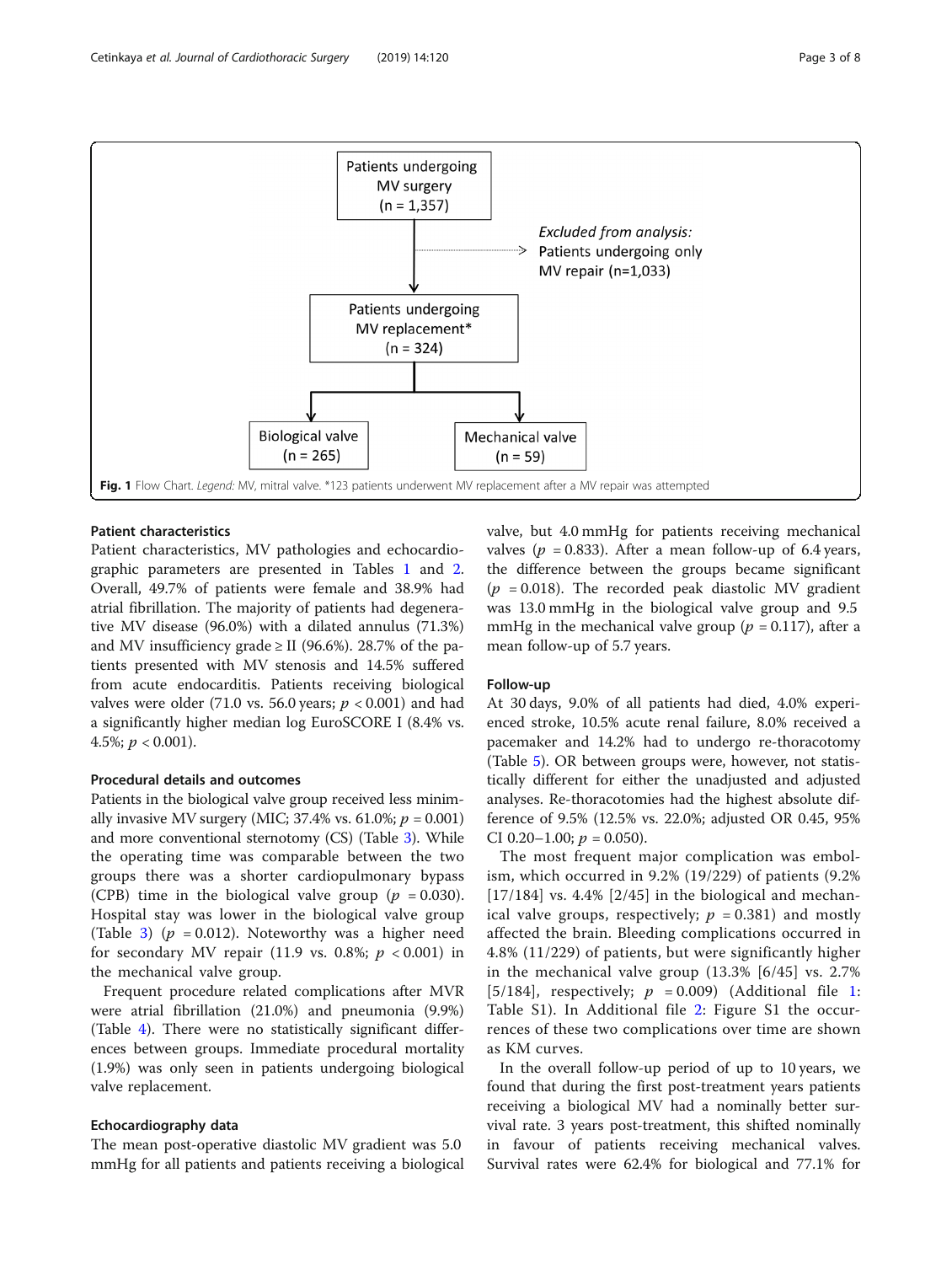<span id="page-2-0"></span>

## Patient characteristics

Patient characteristics, MV pathologies and echocardiographic parameters are presented in Tables [1](#page-3-0) and [2](#page-4-0). Overall, 49.7% of patients were female and 38.9% had atrial fibrillation. The majority of patients had degenerative MV disease (96.0%) with a dilated annulus (71.3%) and MV insufficiency grade  $\geq$  II (96.6%). 28.7% of the patients presented with MV stenosis and 14.5% suffered from acute endocarditis. Patients receiving biological valves were older (71.0 vs. 56.0 years;  $p < 0.001$ ) and had a significantly higher median log EuroSCORE I (8.4% vs. 4.5%;  $p < 0.001$ ).

#### Procedural details and outcomes

Patients in the biological valve group received less minimally invasive MV surgery (MIC; 37.4% vs. 61.0%;  $p = 0.001$ ) and more conventional sternotomy (CS) (Table [3\)](#page-5-0). While the operating time was comparable between the two groups there was a shorter cardiopulmonary bypass (CPB) time in the biological valve group ( $p = 0.030$ ). Hospital stay was lower in the biological valve group (Table [3\)](#page-5-0) ( $p = 0.012$ ). Noteworthy was a higher need for secondary MV repair (11.9 vs. 0.8%;  $p < 0.001$ ) in the mechanical valve group.

Frequent procedure related complications after MVR were atrial fibrillation (21.0%) and pneumonia (9.9%) (Table [4\)](#page-5-0). There were no statistically significant differences between groups. Immediate procedural mortality (1.9%) was only seen in patients undergoing biological valve replacement.

## Echocardiography data

The mean post-operative diastolic MV gradient was 5.0 mmHg for all patients and patients receiving a biological valve, but 4.0 mmHg for patients receiving mechanical valves ( $p = 0.833$ ). After a mean follow-up of 6.4 years, the difference between the groups became significant  $(p = 0.018)$ . The recorded peak diastolic MV gradient was 13.0 mmHg in the biological valve group and 9.5 mmHg in the mechanical valve group ( $p = 0.117$ ), after a mean follow-up of 5.7 years.

#### Follow-up

At 30 days, 9.0% of all patients had died, 4.0% experienced stroke, 10.5% acute renal failure, 8.0% received a pacemaker and 14.2% had to undergo re-thoracotomy (Table [5](#page-6-0)). OR between groups were, however, not statistically different for either the unadjusted and adjusted analyses. Re-thoracotomies had the highest absolute difference of 9.5% (12.5% vs. 22.0%; adjusted OR 0.45, 95% CI 0.20–1.00;  $p = 0.050$ ).

The most frequent major complication was embolism, which occurred in 9.2% (19/229) of patients (9.2%  $[17/184]$  vs. 4.4%  $[2/45]$  in the biological and mechanical valve groups, respectively;  $p = 0.381$ ) and mostly affected the brain. Bleeding complications occurred in 4.8% (11/229) of patients, but were significantly higher in the mechanical valve group (13.3% [6/45] vs. 2.7% [5/[1](#page-7-0)84], respectively;  $p = 0.009$ ) (Additional file 1: Table S1). In Additional file [2:](#page-7-0) Figure S1 the occurrences of these two complications over time are shown as KM curves.

In the overall follow-up period of up to 10 years, we found that during the first post-treatment years patients receiving a biological MV had a nominally better survival rate. 3 years post-treatment, this shifted nominally in favour of patients receiving mechanical valves. Survival rates were 62.4% for biological and 77.1% for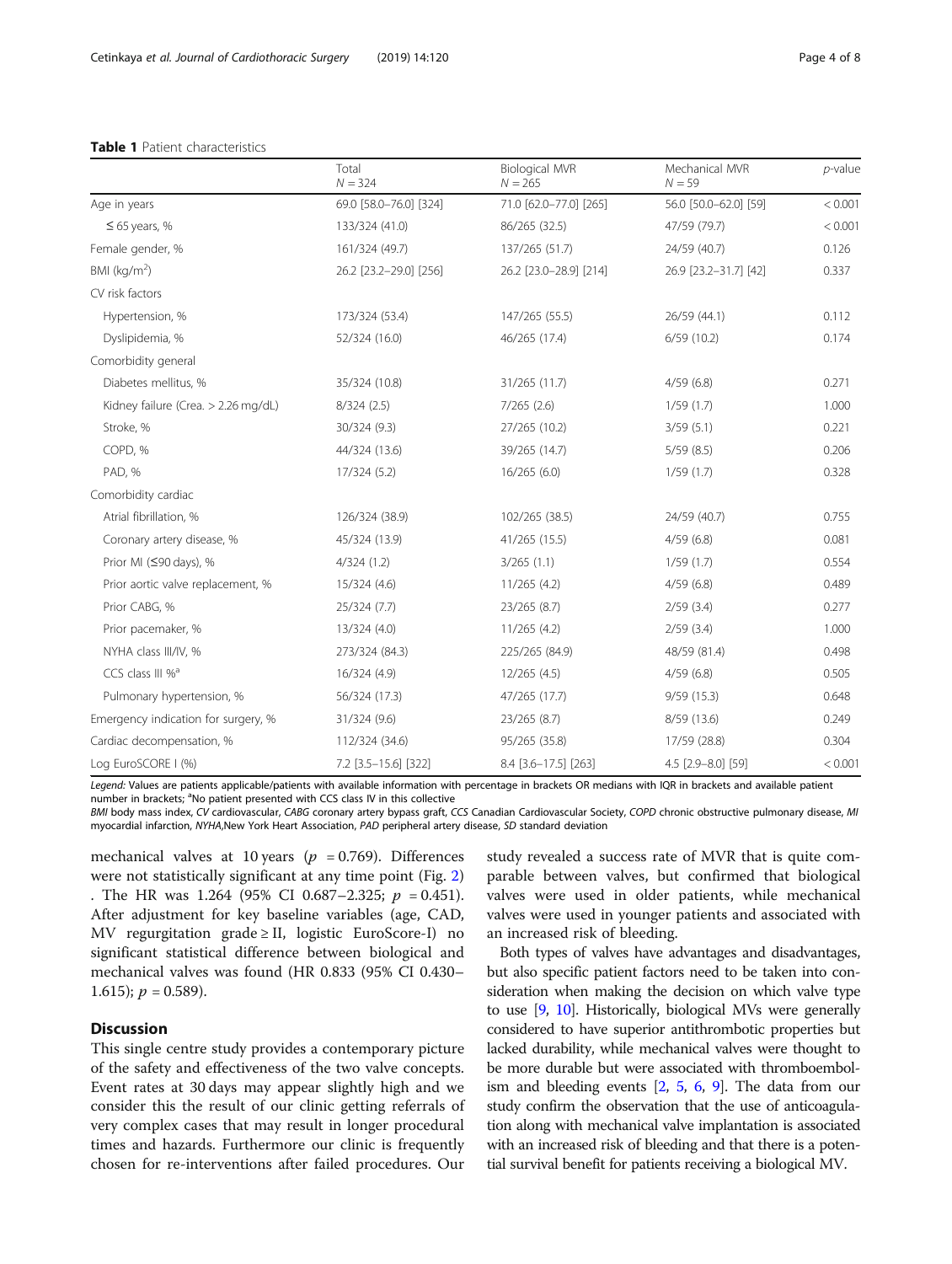#### <span id="page-3-0"></span>Table 1 Patient characteristics

|                                     | Total<br>$N = 324$     | <b>Biological MVR</b><br>$N = 265$ | Mechanical MVR<br>$N = 59$ | $p$ -value |
|-------------------------------------|------------------------|------------------------------------|----------------------------|------------|
| Age in years                        | 69.0 [58.0-76.0] [324] | 71.0 [62.0-77.0] [265]             | 56.0 [50.0-62.0] [59]      | < 0.001    |
| $\leq$ 65 years, %                  | 133/324 (41.0)         | 86/265 (32.5)                      | 47/59 (79.7)               | < 0.001    |
| Female gender, %                    | 161/324 (49.7)         | 137/265 (51.7)                     | 24/59 (40.7)               | 0.126      |
| BMI ( $\text{kg/m}^2$ )             | 26.2 [23.2-29.0] [256] | 26.2 [23.0-28.9] [214]             | 26.9 [23.2-31.7] [42]      | 0.337      |
| CV risk factors                     |                        |                                    |                            |            |
| Hypertension, %                     | 173/324 (53.4)         | 147/265 (55.5)                     | 26/59 (44.1)               | 0.112      |
| Dyslipidemia, %                     | 52/324 (16.0)          | 46/265 (17.4)                      | 6/59(10.2)                 | 0.174      |
| Comorbidity general                 |                        |                                    |                            |            |
| Diabetes mellitus, %                | 35/324 (10.8)          | 31/265 (11.7)                      | 4/59(6.8)                  | 0.271      |
| Kidney failure (Crea. > 2.26 mg/dL) | 8/324(2.5)             | 7/265(2.6)                         | 1/59(1.7)                  | 1.000      |
| Stroke, %                           | 30/324 (9.3)           | 27/265 (10.2)                      | 3/59(5.1)                  | 0.221      |
| COPD, %                             | 44/324 (13.6)          | 39/265 (14.7)                      | 5/59(8.5)                  | 0.206      |
| PAD, %                              | 17/324 (5.2)           | 16/265(6.0)                        | 1/59(1.7)                  | 0.328      |
| Comorbidity cardiac                 |                        |                                    |                            |            |
| Atrial fibrillation, %              | 126/324 (38.9)         | 102/265 (38.5)                     | 24/59 (40.7)               | 0.755      |
| Coronary artery disease, %          | 45/324 (13.9)          | 41/265 (15.5)                      | 4/59(6.8)                  | 0.081      |
| Prior MI (≤90 days), %              | 4/324(1.2)             | 3/265(1.1)                         | 1/59(1.7)                  | 0.554      |
| Prior aortic valve replacement, %   | 15/324(4.6)            | 11/265(4.2)                        | 4/59(6.8)                  | 0.489      |
| Prior CABG, %                       | 25/324(7.7)            | 23/265 (8.7)                       | 2/59(3.4)                  | 0.277      |
| Prior pacemaker, %                  | 13/324 (4.0)           | 11/265(4.2)                        | 2/59(3.4)                  | 1.000      |
| NYHA class III/IV, %                | 273/324 (84.3)         | 225/265 (84.9)                     | 48/59 (81.4)               | 0.498      |
| CCS class III % <sup>a</sup>        | 16/324 (4.9)           | 12/265(4.5)                        | 4/59(6.8)                  | 0.505      |
| Pulmonary hypertension, %           | 56/324 (17.3)          | 47/265 (17.7)                      | 9/59(15.3)                 | 0.648      |
| Emergency indication for surgery, % | 31/324 (9.6)           | 23/265(8.7)                        | 8/59 (13.6)                | 0.249      |
| Cardiac decompensation, %           | 112/324 (34.6)         | 95/265 (35.8)                      | 17/59 (28.8)               | 0.304      |
| Log EuroSCORE I (%)                 | 7.2 [3.5-15.6] [322]   | 8.4 [3.6-17.5] [263]               | 4.5 [2.9-8.0] [59]         | < 0.001    |

Legend: Values are patients applicable/patients with available information with percentage in brackets OR medians with IQR in brackets and available patient number in brackets; <sup>a</sup>No patient presented with CCS class IV in this collective

BMI body mass index, CV cardiovascular, CABG coronary artery bypass graft, CCS Canadian Cardiovascular Society, COPD chronic obstructive pulmonary disease, MI myocardial infarction, NYHA,New York Heart Association, PAD peripheral artery disease, SD standard deviation

mechanical valves at 10 years ( $p = 0.769$ ). Differences were not statistically significant at any time point (Fig. [2](#page-6-0)) . The HR was 1.264 (95% CI 0.687–2.325;  $p = 0.451$ ). After adjustment for key baseline variables (age, CAD, MV regurgitation grade  $\geq$  II, logistic EuroScore-I) no significant statistical difference between biological and mechanical valves was found (HR 0.833 (95% CI 0.430– 1.615);  $p = 0.589$ .

## Discussion

This single centre study provides a contemporary picture of the safety and effectiveness of the two valve concepts. Event rates at 30 days may appear slightly high and we consider this the result of our clinic getting referrals of very complex cases that may result in longer procedural times and hazards. Furthermore our clinic is frequently chosen for re-interventions after failed procedures. Our

study revealed a success rate of MVR that is quite comparable between valves, but confirmed that biological valves were used in older patients, while mechanical valves were used in younger patients and associated with an increased risk of bleeding.

Both types of valves have advantages and disadvantages, but also specific patient factors need to be taken into consideration when making the decision on which valve type to use [\[9,](#page-7-0) [10](#page-7-0)]. Historically, biological MVs were generally considered to have superior antithrombotic properties but lacked durability, while mechanical valves were thought to be more durable but were associated with thromboembolism and bleeding events  $[2, 5, 6, 9]$  $[2, 5, 6, 9]$  $[2, 5, 6, 9]$  $[2, 5, 6, 9]$  $[2, 5, 6, 9]$  $[2, 5, 6, 9]$  $[2, 5, 6, 9]$  $[2, 5, 6, 9]$ . The data from our study confirm the observation that the use of anticoagulation along with mechanical valve implantation is associated with an increased risk of bleeding and that there is a potential survival benefit for patients receiving a biological MV.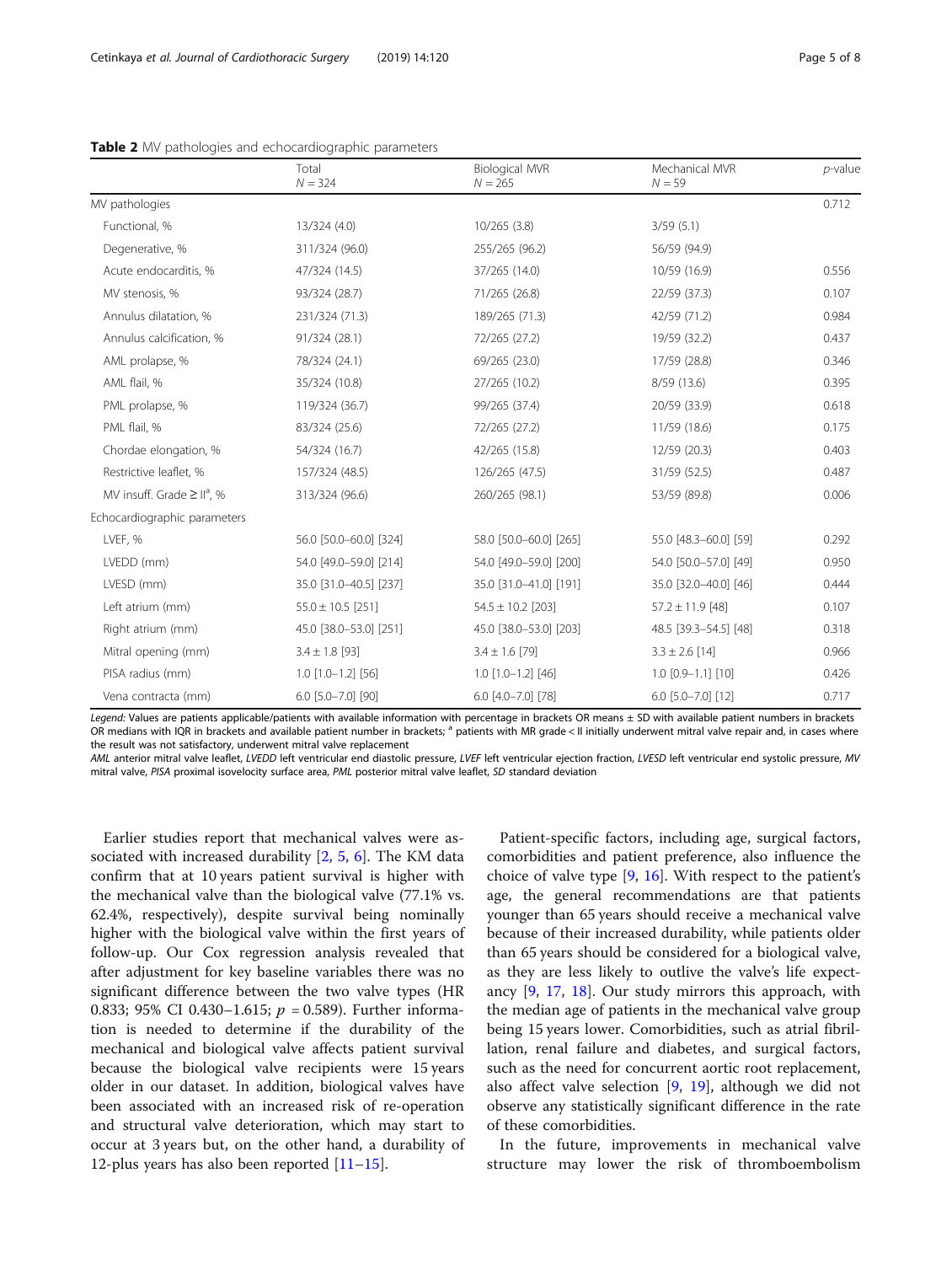|                                             | Total<br>$N = 324$     | <b>Biological MVR</b><br>$N = 265$ | Mechanical MVR<br>$N = 59$ | $p$ -value |
|---------------------------------------------|------------------------|------------------------------------|----------------------------|------------|
| MV pathologies                              |                        |                                    |                            | 0.712      |
| Functional, %                               | 13/324 (4.0)           | 10/265 (3.8)                       | 3/59(5.1)                  |            |
| Degenerative, %                             | 311/324 (96.0)         | 255/265 (96.2)                     | 56/59 (94.9)               |            |
| Acute endocarditis, %                       | 47/324 (14.5)          | 37/265 (14.0)                      | 10/59 (16.9)               | 0.556      |
| MV stenosis, %                              | 93/324 (28.7)          | 71/265 (26.8)                      | 22/59 (37.3)               | 0.107      |
| Annulus dilatation, %                       | 231/324 (71.3)         | 189/265 (71.3)                     | 42/59 (71.2)               | 0.984      |
| Annulus calcification, %                    | 91/324 (28.1)          | 72/265 (27.2)                      | 19/59 (32.2)               | 0.437      |
| AML prolapse, %                             | 78/324 (24.1)          | 69/265 (23.0)                      | 17/59 (28.8)               | 0.346      |
| AML flail, %                                | 35/324 (10.8)          | 27/265 (10.2)                      | 8/59(13.6)                 | 0.395      |
| PML prolapse, %                             | 119/324 (36.7)         | 99/265 (37.4)                      | 20/59 (33.9)               | 0.618      |
| PML flail, %                                | 83/324 (25.6)          | 72/265 (27.2)                      | 11/59 (18.6)               | 0.175      |
| Chordae elongation, %                       | 54/324 (16.7)          | 42/265 (15.8)                      | 12/59 (20.3)               | 0.403      |
| Restrictive leaflet, %                      | 157/324 (48.5)         | 126/265 (47.5)                     | 31/59 (52.5)               | 0.487      |
| MV insuff. Grade $\geq$ II <sup>a</sup> , % | 313/324 (96.6)         | 260/265 (98.1)                     | 53/59 (89.8)               | 0.006      |
| Echocardiographic parameters                |                        |                                    |                            |            |
| LVEF, %                                     | 56.0 [50.0-60.0] [324] | 58.0 [50.0-60.0] [265]             | 55.0 [48.3-60.0] [59]      | 0.292      |
| LVEDD (mm)                                  | 54.0 [49.0-59.0] [214] | 54.0 [49.0-59.0] [200]             | 54.0 [50.0-57.0] [49]      | 0.950      |
| LVESD (mm)                                  | 35.0 [31.0-40.5] [237] | 35.0 [31.0-41.0] [191]             | 35.0 [32.0-40.0] [46]      | 0.444      |
| Left atrium (mm)                            | $55.0 \pm 10.5$ [251]  | $54.5 \pm 10.2$ [203]              | $57.2 \pm 11.9$ [48]       | 0.107      |
| Right atrium (mm)                           | 45.0 [38.0-53.0] [251] | 45.0 [38.0-53.0] [203]             | 48.5 [39.3-54.5] [48]      | 0.318      |
| Mitral opening (mm)                         | $3.4 \pm 1.8$ [93]     | $3.4 \pm 1.6$ [79]                 | $3.3 \pm 2.6$ [14]         | 0.966      |
| PISA radius (mm)                            | 1.0 [1.0-1.2] [56]     | $1.0$ $[1.0 - 1.2]$ $[46]$         | 1.0 [0.9-1.1] [10]         | 0.426      |
| Vena contracta (mm)                         | 6.0 [5.0-7.0] [90]     | 6.0 [4.0-7.0] [78]                 | 6.0 [5.0-7.0] [12]         | 0.717      |

<span id="page-4-0"></span>Table 2 MV pathologies and echocardiographic parameters

Legend: Values are patients applicable/patients with available information with percentage in brackets OR means ± SD with available patient numbers in brackets OR medians with IQR in brackets and available patient number in brackets; <sup>a</sup> patients with MR grade < II initially underwent mitral valve repair and, in cases where the result was not satisfactory, underwent mitral valve replacement

AML anterior mitral valve leaflet, LVEDD left ventricular end diastolic pressure, LVEF left ventricular ejection fraction, LVESD left ventricular end systolic pressure, MV mitral valve, PISA proximal isovelocity surface area, PML posterior mitral valve leaflet, SD standard deviation

Earlier studies report that mechanical valves were associated with increased durability [\[2,](#page-7-0) [5](#page-7-0), [6\]](#page-7-0). The KM data confirm that at 10 years patient survival is higher with the mechanical valve than the biological valve (77.1% vs. 62.4%, respectively), despite survival being nominally higher with the biological valve within the first years of follow-up. Our Cox regression analysis revealed that after adjustment for key baseline variables there was no significant difference between the two valve types (HR 0.833; 95% CI 0.430-1.615;  $p = 0.589$ ). Further information is needed to determine if the durability of the mechanical and biological valve affects patient survival because the biological valve recipients were 15 years older in our dataset. In addition, biological valves have been associated with an increased risk of re-operation and structural valve deterioration, which may start to occur at 3 years but, on the other hand, a durability of 12-plus years has also been reported [\[11](#page-7-0)–[15\]](#page-7-0).

Patient-specific factors, including age, surgical factors, comorbidities and patient preference, also influence the choice of valve type  $[9, 16]$  $[9, 16]$  $[9, 16]$  $[9, 16]$ . With respect to the patient's age, the general recommendations are that patients younger than 65 years should receive a mechanical valve because of their increased durability, while patients older than 65 years should be considered for a biological valve, as they are less likely to outlive the valve's life expectancy [[9](#page-7-0), [17](#page-7-0), [18](#page-7-0)]. Our study mirrors this approach, with the median age of patients in the mechanical valve group being 15 years lower. Comorbidities, such as atrial fibrillation, renal failure and diabetes, and surgical factors, such as the need for concurrent aortic root replacement, also affect valve selection  $[9, 19]$  $[9, 19]$  $[9, 19]$  $[9, 19]$ , although we did not observe any statistically significant difference in the rate of these comorbidities.

In the future, improvements in mechanical valve structure may lower the risk of thromboembolism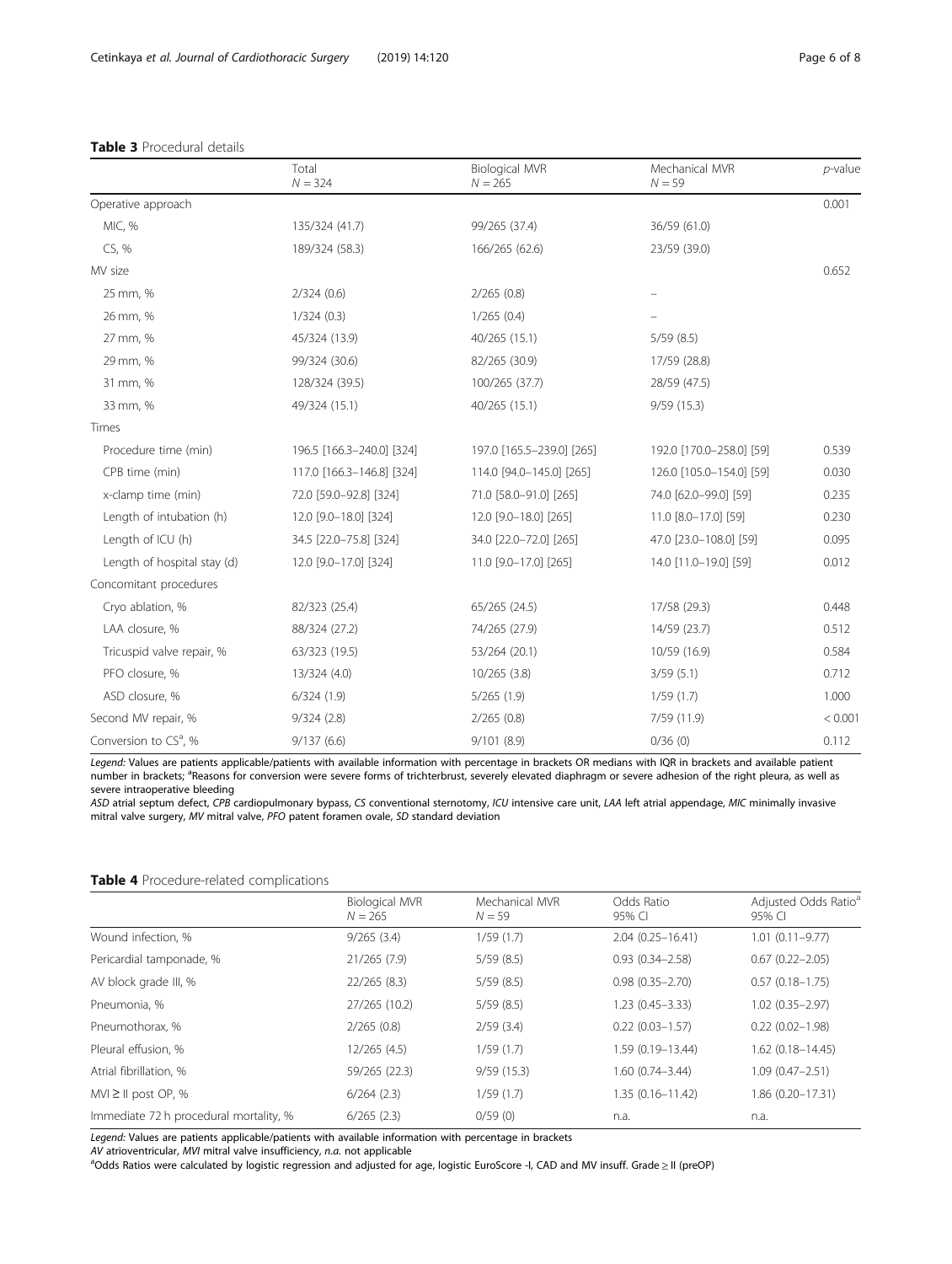#### <span id="page-5-0"></span>Table 3 Procedural details

|                                   | Total<br>$N = 324$        | <b>Biological MVR</b><br>$N = 265$ | Mechanical MVR<br>$N = 59$ | $p$ -value |
|-----------------------------------|---------------------------|------------------------------------|----------------------------|------------|
| Operative approach                |                           |                                    |                            | 0.001      |
| MIC, %                            | 135/324 (41.7)            | 99/265 (37.4)                      | 36/59 (61.0)               |            |
| CS, %                             | 189/324 (58.3)            | 166/265 (62.6)                     | 23/59 (39.0)               |            |
| MV size                           |                           |                                    |                            | 0.652      |
| 25 mm, %                          | 2/324(0.6)                | 2/265(0.8)                         |                            |            |
| 26 mm, %                          | 1/324(0.3)                | 1/265(0.4)                         |                            |            |
| 27 mm, %                          | 45/324 (13.9)             | 40/265 (15.1)                      | 5/59(8.5)                  |            |
| 29 mm, %                          | 99/324 (30.6)             | 82/265 (30.9)                      | 17/59 (28.8)               |            |
| 31 mm, %                          | 128/324 (39.5)            | 100/265 (37.7)                     | 28/59 (47.5)               |            |
| 33 mm, %                          | 49/324 (15.1)             | 40/265 (15.1)                      | 9/59(15.3)                 |            |
| Times                             |                           |                                    |                            |            |
| Procedure time (min)              | 196.5 [166.3-240.0] [324] | 197.0 [165.5-239.0] [265]          | 192.0 [170.0-258.0] [59]   | 0.539      |
| CPB time (min)                    | 117.0 [166.3-146.8] [324] | 114.0 [94.0-145.0] [265]           | 126.0 [105.0-154.0] [59]   | 0.030      |
| x-clamp time (min)                | 72.0 [59.0-92.8] [324]    | 71.0 [58.0-91.0] [265]             | 74.0 [62.0-99.0] [59]      | 0.235      |
| Length of intubation (h)          | 12.0 [9.0-18.0] [324]     | 12.0 [9.0-18.0] [265]              | 11.0 [8.0-17.0] [59]       | 0.230      |
| Length of ICU (h)                 | 34.5 [22.0-75.8] [324]    | 34.0 [22.0-72.0] [265]             | 47.0 [23.0-108.0] [59]     | 0.095      |
| Length of hospital stay (d)       | 12.0 [9.0-17.0] [324]     | 11.0 [9.0-17.0] [265]              | 14.0 [11.0-19.0] [59]      | 0.012      |
| Concomitant procedures            |                           |                                    |                            |            |
| Cryo ablation, %                  | 82/323 (25.4)             | 65/265 (24.5)                      | 17/58 (29.3)               | 0.448      |
| LAA closure, %                    | 88/324 (27.2)             | 74/265 (27.9)                      | 14/59 (23.7)               | 0.512      |
| Tricuspid valve repair, %         | 63/323 (19.5)             | 53/264 (20.1)                      | 10/59 (16.9)               | 0.584      |
| PFO closure, %                    | 13/324 (4.0)              | 10/265 (3.8)                       | 3/59(5.1)                  | 0.712      |
| ASD closure, %                    | 6/324(1.9)                | 5/265(1.9)                         | 1/59(1.7)                  | 1.000      |
| Second MV repair, %               | 9/324(2.8)                | 2/265(0.8)                         | 7/59 (11.9)                | < 0.001    |
| Conversion to CS <sup>a</sup> , % | 9/137(6.6)                | 9/101(8.9)                         | 0/36(0)                    | 0.112      |

Legend: Values are patients applicable/patients with available information with percentage in brackets OR medians with IQR in brackets and available patient number in brackets; <sup>a</sup>Reasons for conversion were severe forms of trichterbrust, severely elevated diaphragm or severe adhesion of the right pleura, as well as severe intraoperative bleeding

ASD atrial septum defect, CPB cardiopulmonary bypass, CS conventional sternotomy, ICU intensive care unit, LAA left atrial appendage, MIC minimally invasive mitral valve surgery, MV mitral valve, PFO patent foramen ovale, SD standard deviation

#### Table 4 Procedure-related complications

|                                        | <b>Biological MVR</b><br>$N = 265$ | Mechanical MVR<br>$N = 59$ | Odds Ratio<br>95% CI | Adjusted Odds Ratio <sup>a</sup><br>95% CI |
|----------------------------------------|------------------------------------|----------------------------|----------------------|--------------------------------------------|
| Wound infection, %                     | 9/265(3.4)                         | 1/59(1.7)                  | $2.04(0.25 - 16.41)$ | $1.01(0.11 - 9.77)$                        |
| Pericardial tamponade, %               | 21/265(7.9)                        | 5/59(8.5)                  | $0.93(0.34 - 2.58)$  | $0.67(0.22 - 2.05)$                        |
| AV block grade III, %                  | 22/265 (8.3)                       | 5/59(8.5)                  | $0.98(0.35 - 2.70)$  | $0.57(0.18 - 1.75)$                        |
| Pneumonia, %                           | 27/265 (10.2)                      | 5/59(8.5)                  | $1.23(0.45 - 3.33)$  | $1.02(0.35 - 2.97)$                        |
| Pneumothorax, %                        | 2/265(0.8)                         | 2/59(3.4)                  | $0.22(0.03 - 1.57)$  | $0.22(0.02 - 1.98)$                        |
| Pleural effusion, %                    | $12/265$ (4.5)                     | 1/59(1.7)                  | 1.59 (0.19-13.44)    | $1.62(0.18 - 14.45)$                       |
| Atrial fibrillation. %                 | 59/265 (22.3)                      | 9/59(15.3)                 | $1.60(0.74 - 3.44)$  | $1.09(0.47 - 2.51)$                        |
| $MVI \geq II$ post OP, %               | $6/264$ $(2.3)$                    | 1/59(1.7)                  | $1.35(0.16 - 11.42)$ | 1.86 (0.20-17.31)                          |
| Immediate 72 h procedural mortality, % | $6/265$ $(2.3)$                    | 0/59(0)                    | n.a.                 | n.a.                                       |

Legend: Values are patients applicable/patients with available information with percentage in brackets

AV atrioventricular, MVI mitral valve insufficiency, n.a. not applicable

<sup>a</sup>Odds Ratios were calculated by logistic regression and adjusted for age, logistic EuroScore -I, CAD and MV insuff. Grade ≥ II (preOP)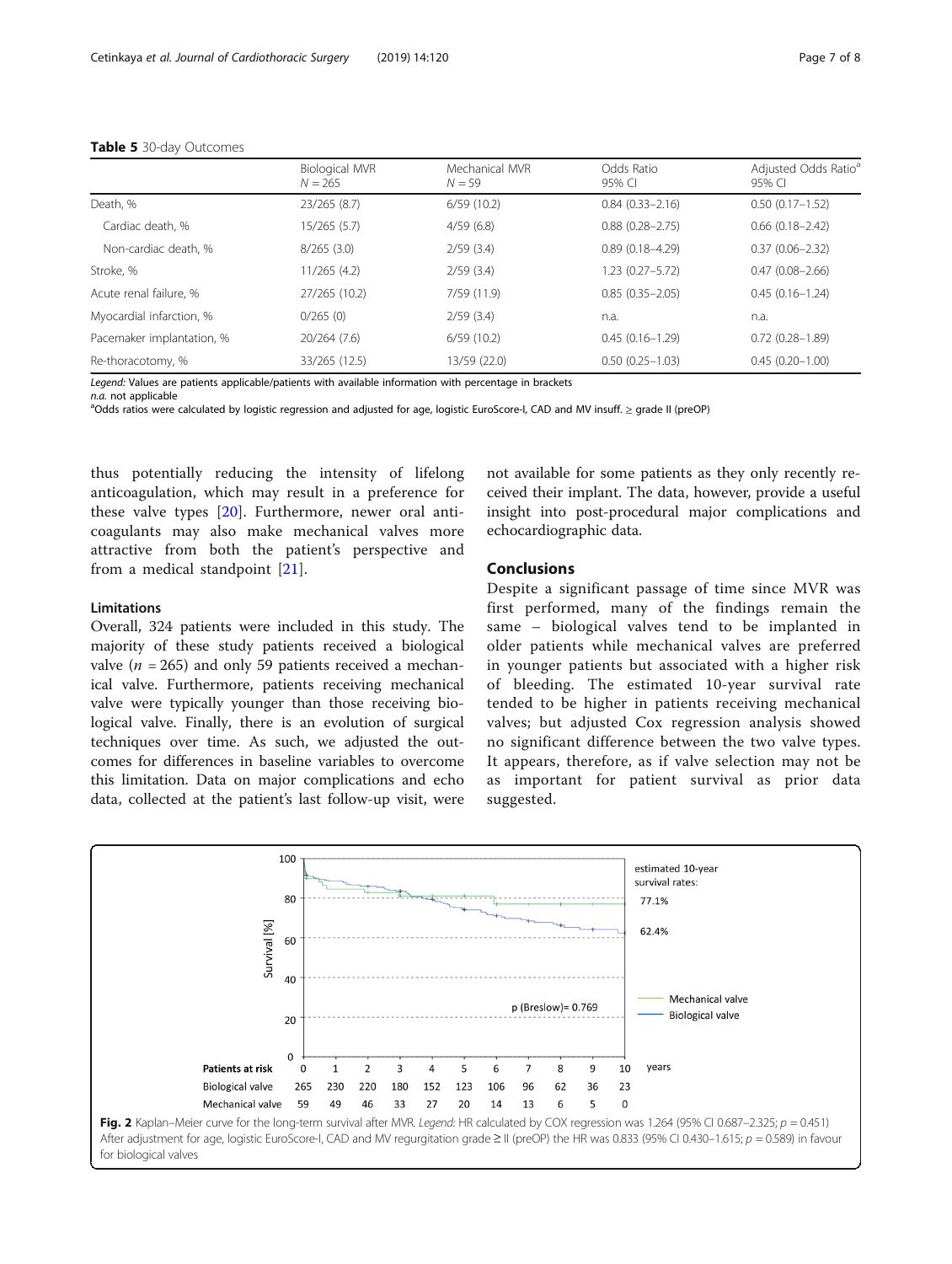|                           | <b>Biological MVR</b><br>$N = 265$ | Mechanical MVR<br>$N = 59$ | Odds Ratio<br>95% CI | Adjusted Odds Ratio <sup>a</sup><br>95% CI |
|---------------------------|------------------------------------|----------------------------|----------------------|--------------------------------------------|
| Death, %                  | 23/265 (8.7)                       | 6/59(10.2)                 | $0.84(0.33 - 2.16)$  | $0.50(0.17 - 1.52)$                        |
| Cardiac death, %          | 15/265 (5.7)                       | 4/59(6.8)                  | $0.88(0.28 - 2.75)$  | $0.66(0.18-2.42)$                          |
| Non-cardiac death, %      | 8/265(3.0)                         | 2/59(3.4)                  | $0.89(0.18 - 4.29)$  | $0.37(0.06 - 2.32)$                        |
| Stroke, %                 | 11/265 (4.2)                       | 2/59(3.4)                  | $1.23(0.27 - 5.72)$  | $0.47(0.08 - 2.66)$                        |
| Acute renal failure, %    | 27/265 (10.2)                      | 7/59 (11.9)                | $0.85(0.35 - 2.05)$  | $0.45(0.16 - 1.24)$                        |
| Myocardial infarction, %  | 0/265(0)                           | 2/59(3.4)                  | n.a.                 | n.a.                                       |
| Pacemaker implantation, % | 20/264 (7.6)                       | 6/59(10.2)                 | $0.45(0.16 - 1.29)$  | $0.72(0.28 - 1.89)$                        |
| Re-thoracotomy, %         | 33/265 (12.5)                      | 13/59 (22.0)               | $0.50(0.25 - 1.03)$  | $0.45(0.20 - 1.00)$                        |

#### <span id="page-6-0"></span>Table 5 30-day Outcomes

Legend: Values are patients applicable/patients with available information with percentage in brackets

n.a. not applicable

<sup>a</sup>Odds ratios were calculated by logistic regression and adjusted for age, logistic EuroScore-I, CAD and MV insuff. ≥ grade II (preOP)

thus potentially reducing the intensity of lifelong anticoagulation, which may result in a preference for these valve types [[20\]](#page-7-0). Furthermore, newer oral anticoagulants may also make mechanical valves more attractive from both the patient's perspective and from a medical standpoint [[21](#page-7-0)].

#### Limitations

Overall, 324 patients were included in this study. The majority of these study patients received a biological valve ( $n = 265$ ) and only 59 patients received a mechanical valve. Furthermore, patients receiving mechanical valve were typically younger than those receiving biological valve. Finally, there is an evolution of surgical techniques over time. As such, we adjusted the outcomes for differences in baseline variables to overcome this limitation. Data on major complications and echo data, collected at the patient's last follow-up visit, were not available for some patients as they only recently received their implant. The data, however, provide a useful insight into post-procedural major complications and echocardiographic data.

### Conclusions

Despite a significant passage of time since MVR was first performed, many of the findings remain the same – biological valves tend to be implanted in older patients while mechanical valves are preferred in younger patients but associated with a higher risk of bleeding. The estimated 10-year survival rate tended to be higher in patients receiving mechanical valves; but adjusted Cox regression analysis showed no significant difference between the two valve types. It appears, therefore, as if valve selection may not be as important for patient survival as prior data suggested.